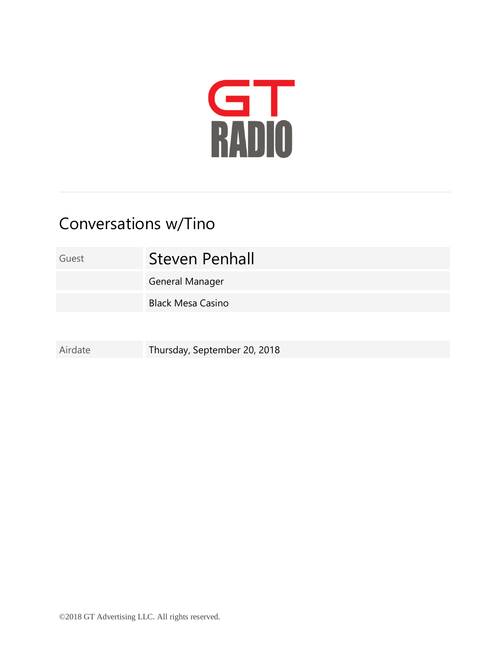

## Conversations w/Tino

## Guest **Steven Penhall**

General Manager

Black Mesa Casino

Airdate Thursday, September 20, 2018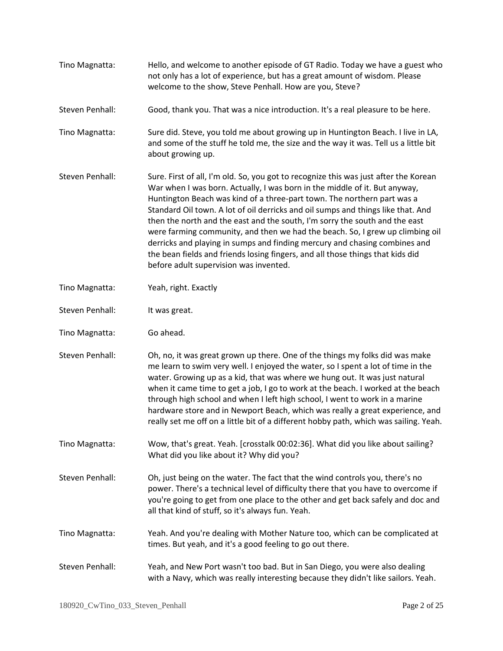| Tino Magnatta:  | Hello, and welcome to another episode of GT Radio. Today we have a guest who<br>not only has a lot of experience, but has a great amount of wisdom. Please<br>welcome to the show, Steve Penhall. How are you, Steve?                                                                                                                                                                                                                                                                                                                                                                                                                                                                                       |
|-----------------|-------------------------------------------------------------------------------------------------------------------------------------------------------------------------------------------------------------------------------------------------------------------------------------------------------------------------------------------------------------------------------------------------------------------------------------------------------------------------------------------------------------------------------------------------------------------------------------------------------------------------------------------------------------------------------------------------------------|
| Steven Penhall: | Good, thank you. That was a nice introduction. It's a real pleasure to be here.                                                                                                                                                                                                                                                                                                                                                                                                                                                                                                                                                                                                                             |
| Tino Magnatta:  | Sure did. Steve, you told me about growing up in Huntington Beach. I live in LA,<br>and some of the stuff he told me, the size and the way it was. Tell us a little bit<br>about growing up.                                                                                                                                                                                                                                                                                                                                                                                                                                                                                                                |
| Steven Penhall: | Sure. First of all, I'm old. So, you got to recognize this was just after the Korean<br>War when I was born. Actually, I was born in the middle of it. But anyway,<br>Huntington Beach was kind of a three-part town. The northern part was a<br>Standard Oil town. A lot of oil derricks and oil sumps and things like that. And<br>then the north and the east and the south, I'm sorry the south and the east<br>were farming community, and then we had the beach. So, I grew up climbing oil<br>derricks and playing in sumps and finding mercury and chasing combines and<br>the bean fields and friends losing fingers, and all those things that kids did<br>before adult supervision was invented. |
| Tino Magnatta:  | Yeah, right. Exactly                                                                                                                                                                                                                                                                                                                                                                                                                                                                                                                                                                                                                                                                                        |
| Steven Penhall: | It was great.                                                                                                                                                                                                                                                                                                                                                                                                                                                                                                                                                                                                                                                                                               |
| Tino Magnatta:  | Go ahead.                                                                                                                                                                                                                                                                                                                                                                                                                                                                                                                                                                                                                                                                                                   |
| Steven Penhall: | Oh, no, it was great grown up there. One of the things my folks did was make<br>me learn to swim very well. I enjoyed the water, so I spent a lot of time in the<br>water. Growing up as a kid, that was where we hung out. It was just natural<br>when it came time to get a job, I go to work at the beach. I worked at the beach<br>through high school and when I left high school, I went to work in a marine<br>hardware store and in Newport Beach, which was really a great experience, and<br>really set me off on a little bit of a different hobby path, which was sailing. Yeah.                                                                                                                |
| Tino Magnatta:  | Wow, that's great. Yeah. [crosstalk 00:02:36]. What did you like about sailing?<br>What did you like about it? Why did you?                                                                                                                                                                                                                                                                                                                                                                                                                                                                                                                                                                                 |
| Steven Penhall: | Oh, just being on the water. The fact that the wind controls you, there's no<br>power. There's a technical level of difficulty there that you have to overcome if<br>you're going to get from one place to the other and get back safely and doc and<br>all that kind of stuff, so it's always fun. Yeah.                                                                                                                                                                                                                                                                                                                                                                                                   |
| Tino Magnatta:  | Yeah. And you're dealing with Mother Nature too, which can be complicated at<br>times. But yeah, and it's a good feeling to go out there.                                                                                                                                                                                                                                                                                                                                                                                                                                                                                                                                                                   |
| Steven Penhall: | Yeah, and New Port wasn't too bad. But in San Diego, you were also dealing<br>with a Navy, which was really interesting because they didn't like sailors. Yeah.                                                                                                                                                                                                                                                                                                                                                                                                                                                                                                                                             |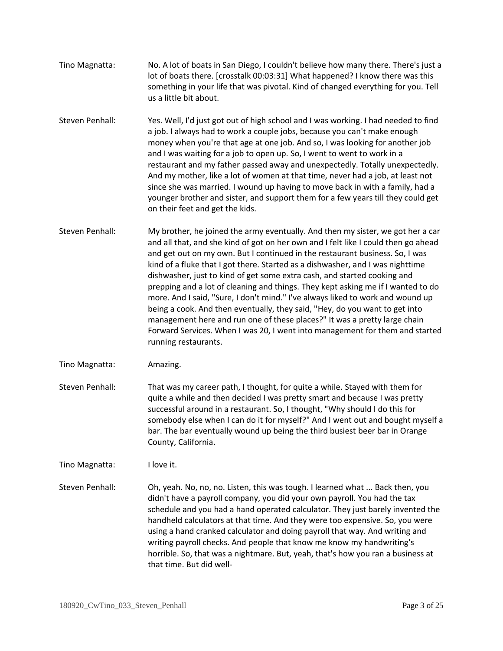- Tino Magnatta: No. A lot of boats in San Diego, I couldn't believe how many there. There's just a lot of boats there. [crosstalk 00:03:31] What happened? I know there was this something in your life that was pivotal. Kind of changed everything for you. Tell us a little bit about.
- Steven Penhall: Yes. Well, I'd just got out of high school and I was working. I had needed to find a job. I always had to work a couple jobs, because you can't make enough money when you're that age at one job. And so, I was looking for another job and I was waiting for a job to open up. So, I went to went to work in a restaurant and my father passed away and unexpectedly. Totally unexpectedly. And my mother, like a lot of women at that time, never had a job, at least not since she was married. I wound up having to move back in with a family, had a younger brother and sister, and support them for a few years till they could get on their feet and get the kids.
- Steven Penhall: My brother, he joined the army eventually. And then my sister, we got her a car and all that, and she kind of got on her own and I felt like I could then go ahead and get out on my own. But I continued in the restaurant business. So, I was kind of a fluke that I got there. Started as a dishwasher, and I was nighttime dishwasher, just to kind of get some extra cash, and started cooking and prepping and a lot of cleaning and things. They kept asking me if I wanted to do more. And I said, "Sure, I don't mind." I've always liked to work and wound up being a cook. And then eventually, they said, "Hey, do you want to get into management here and run one of these places?" It was a pretty large chain Forward Services. When I was 20, I went into management for them and started running restaurants.
- Tino Magnatta: Amazing.
- Steven Penhall: That was my career path, I thought, for quite a while. Stayed with them for quite a while and then decided I was pretty smart and because I was pretty successful around in a restaurant. So, I thought, "Why should I do this for somebody else when I can do it for myself?" And I went out and bought myself a bar. The bar eventually wound up being the third busiest beer bar in Orange County, California.

Tino Magnatta: I love it.

Steven Penhall: Oh, yeah. No, no, no. Listen, this was tough. I learned what ... Back then, you didn't have a payroll company, you did your own payroll. You had the tax schedule and you had a hand operated calculator. They just barely invented the handheld calculators at that time. And they were too expensive. So, you were using a hand cranked calculator and doing payroll that way. And writing and writing payroll checks. And people that know me know my handwriting's horrible. So, that was a nightmare. But, yeah, that's how you ran a business at that time. But did well-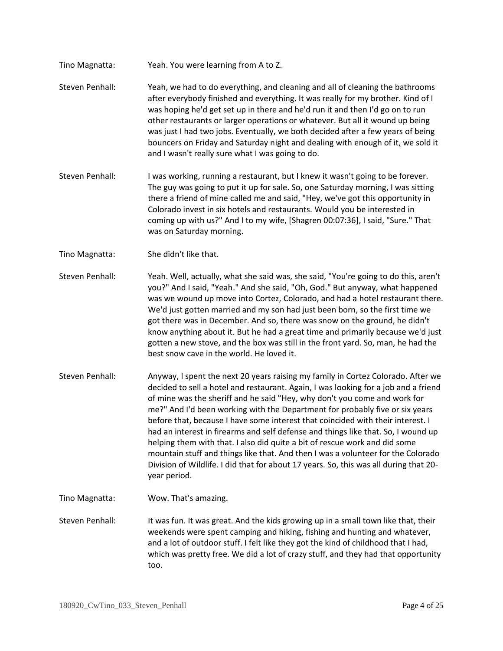- Tino Magnatta: Yeah. You were learning from A to Z.
- Steven Penhall: Yeah, we had to do everything, and cleaning and all of cleaning the bathrooms after everybody finished and everything. It was really for my brother. Kind of I was hoping he'd get set up in there and he'd run it and then I'd go on to run other restaurants or larger operations or whatever. But all it wound up being was just I had two jobs. Eventually, we both decided after a few years of being bouncers on Friday and Saturday night and dealing with enough of it, we sold it and I wasn't really sure what I was going to do.
- Steven Penhall: I was working, running a restaurant, but I knew it wasn't going to be forever. The guy was going to put it up for sale. So, one Saturday morning, I was sitting there a friend of mine called me and said, "Hey, we've got this opportunity in Colorado invest in six hotels and restaurants. Would you be interested in coming up with us?" And I to my wife, [Shagren 00:07:36], I said, "Sure." That was on Saturday morning.
- Tino Magnatta: She didn't like that.
- Steven Penhall: Yeah. Well, actually, what she said was, she said, "You're going to do this, aren't you?" And I said, "Yeah." And she said, "Oh, God." But anyway, what happened was we wound up move into Cortez, Colorado, and had a hotel restaurant there. We'd just gotten married and my son had just been born, so the first time we got there was in December. And so, there was snow on the ground, he didn't know anything about it. But he had a great time and primarily because we'd just gotten a new stove, and the box was still in the front yard. So, man, he had the best snow cave in the world. He loved it.
- Steven Penhall: Anyway, I spent the next 20 years raising my family in Cortez Colorado. After we decided to sell a hotel and restaurant. Again, I was looking for a job and a friend of mine was the sheriff and he said "Hey, why don't you come and work for me?" And I'd been working with the Department for probably five or six years before that, because I have some interest that coincided with their interest. I had an interest in firearms and self defense and things like that. So, I wound up helping them with that. I also did quite a bit of rescue work and did some mountain stuff and things like that. And then I was a volunteer for the Colorado Division of Wildlife. I did that for about 17 years. So, this was all during that 20 year period.
- Tino Magnatta: Wow. That's amazing.
- Steven Penhall: It was fun. It was great. And the kids growing up in a small town like that, their weekends were spent camping and hiking, fishing and hunting and whatever, and a lot of outdoor stuff. I felt like they got the kind of childhood that I had, which was pretty free. We did a lot of crazy stuff, and they had that opportunity too.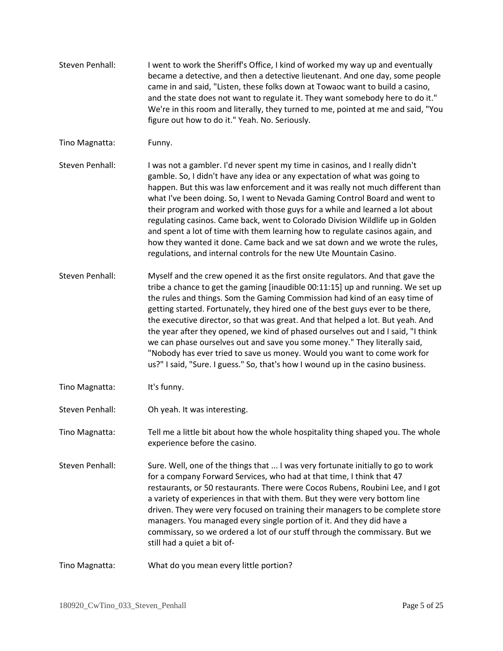Steven Penhall: I went to work the Sheriff's Office, I kind of worked my way up and eventually became a detective, and then a detective lieutenant. And one day, some people came in and said, "Listen, these folks down at Towaoc want to build a casino, and the state does not want to regulate it. They want somebody here to do it." We're in this room and literally, they turned to me, pointed at me and said, "You figure out how to do it." Yeah. No. Seriously. Tino Magnatta: Funny. Steven Penhall: I was not a gambler. I'd never spent my time in casinos, and I really didn't gamble. So, I didn't have any idea or any expectation of what was going to happen. But this was law enforcement and it was really not much different than what I've been doing. So, I went to Nevada Gaming Control Board and went to their program and worked with those guys for a while and learned a lot about regulating casinos. Came back, went to Colorado Division Wildlife up in Golden and spent a lot of time with them learning how to regulate casinos again, and how they wanted it done. Came back and we sat down and we wrote the rules, regulations, and internal controls for the new Ute Mountain Casino. Steven Penhall: Myself and the crew opened it as the first onsite regulators. And that gave the tribe a chance to get the gaming [inaudible 00:11:15] up and running. We set up the rules and things. Som the Gaming Commission had kind of an easy time of getting started. Fortunately, they hired one of the best guys ever to be there, the executive director, so that was great. And that helped a lot. But yeah. And the year after they opened, we kind of phased ourselves out and I said, "I think we can phase ourselves out and save you some money." They literally said, "Nobody has ever tried to save us money. Would you want to come work for us?" I said, "Sure. I guess." So, that's how I wound up in the casino business. Tino Magnatta: It's funny. Steven Penhall: Oh yeah. It was interesting. Tino Magnatta: Tell me a little bit about how the whole hospitality thing shaped you. The whole experience before the casino. Steven Penhall: Sure. Well, one of the things that ... I was very fortunate initially to go to work for a company Forward Services, who had at that time, I think that 47 restaurants, or 50 restaurants. There were Cocos Rubens, Roubini Lee, and I got a variety of experiences in that with them. But they were very bottom line driven. They were very focused on training their managers to be complete store managers. You managed every single portion of it. And they did have a commissary, so we ordered a lot of our stuff through the commissary. But we still had a quiet a bit of-Tino Magnatta: What do you mean every little portion?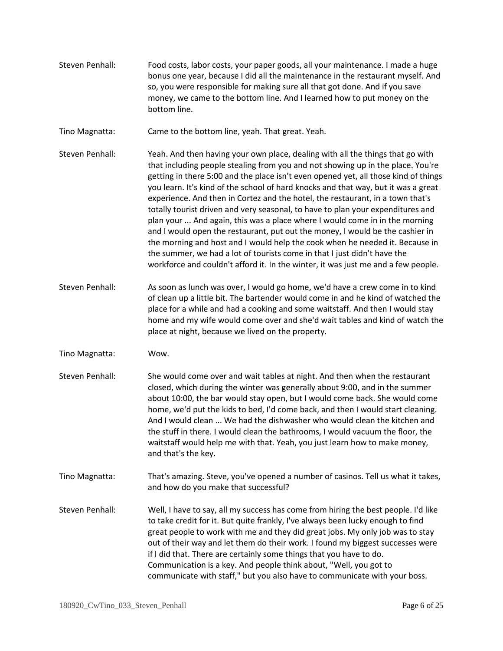- Steven Penhall: Food costs, labor costs, your paper goods, all your maintenance. I made a huge bonus one year, because I did all the maintenance in the restaurant myself. And so, you were responsible for making sure all that got done. And if you save money, we came to the bottom line. And I learned how to put money on the bottom line.
- Tino Magnatta: Came to the bottom line, yeah. That great. Yeah.
- Steven Penhall: Yeah. And then having your own place, dealing with all the things that go with that including people stealing from you and not showing up in the place. You're getting in there 5:00 and the place isn't even opened yet, all those kind of things you learn. It's kind of the school of hard knocks and that way, but it was a great experience. And then in Cortez and the hotel, the restaurant, in a town that's totally tourist driven and very seasonal, to have to plan your expenditures and plan your ... And again, this was a place where I would come in in the morning and I would open the restaurant, put out the money, I would be the cashier in the morning and host and I would help the cook when he needed it. Because in the summer, we had a lot of tourists come in that I just didn't have the workforce and couldn't afford it. In the winter, it was just me and a few people.
- Steven Penhall: As soon as lunch was over, I would go home, we'd have a crew come in to kind of clean up a little bit. The bartender would come in and he kind of watched the place for a while and had a cooking and some waitstaff. And then I would stay home and my wife would come over and she'd wait tables and kind of watch the place at night, because we lived on the property.
- Tino Magnatta: Wow.
- Steven Penhall: She would come over and wait tables at night. And then when the restaurant closed, which during the winter was generally about 9:00, and in the summer about 10:00, the bar would stay open, but I would come back. She would come home, we'd put the kids to bed, I'd come back, and then I would start cleaning. And I would clean ... We had the dishwasher who would clean the kitchen and the stuff in there. I would clean the bathrooms, I would vacuum the floor, the waitstaff would help me with that. Yeah, you just learn how to make money, and that's the key.
- Tino Magnatta: That's amazing. Steve, you've opened a number of casinos. Tell us what it takes, and how do you make that successful?
- Steven Penhall: Well, I have to say, all my success has come from hiring the best people. I'd like to take credit for it. But quite frankly, I've always been lucky enough to find great people to work with me and they did great jobs. My only job was to stay out of their way and let them do their work. I found my biggest successes were if I did that. There are certainly some things that you have to do. Communication is a key. And people think about, "Well, you got to communicate with staff," but you also have to communicate with your boss.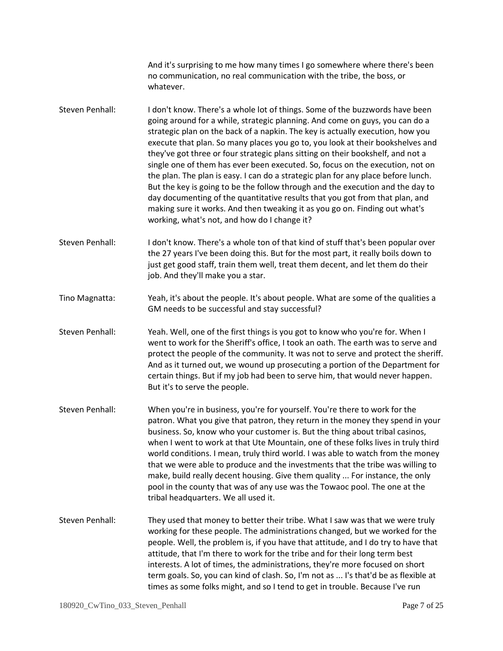And it's surprising to me how many times I go somewhere where there's been no communication, no real communication with the tribe, the boss, or whatever.

- Steven Penhall: I don't know. There's a whole lot of things. Some of the buzzwords have been going around for a while, strategic planning. And come on guys, you can do a strategic plan on the back of a napkin. The key is actually execution, how you execute that plan. So many places you go to, you look at their bookshelves and they've got three or four strategic plans sitting on their bookshelf, and not a single one of them has ever been executed. So, focus on the execution, not on the plan. The plan is easy. I can do a strategic plan for any place before lunch. But the key is going to be the follow through and the execution and the day to day documenting of the quantitative results that you got from that plan, and making sure it works. And then tweaking it as you go on. Finding out what's working, what's not, and how do I change it?
- Steven Penhall: I don't know. There's a whole ton of that kind of stuff that's been popular over the 27 years I've been doing this. But for the most part, it really boils down to just get good staff, train them well, treat them decent, and let them do their job. And they'll make you a star.
- Tino Magnatta: Yeah, it's about the people. It's about people. What are some of the qualities a GM needs to be successful and stay successful?
- Steven Penhall: Yeah. Well, one of the first things is you got to know who you're for. When I went to work for the Sheriff's office, I took an oath. The earth was to serve and protect the people of the community. It was not to serve and protect the sheriff. And as it turned out, we wound up prosecuting a portion of the Department for certain things. But if my job had been to serve him, that would never happen. But it's to serve the people.
- Steven Penhall: When you're in business, you're for yourself. You're there to work for the patron. What you give that patron, they return in the money they spend in your business. So, know who your customer is. But the thing about tribal casinos, when I went to work at that Ute Mountain, one of these folks lives in truly third world conditions. I mean, truly third world. I was able to watch from the money that we were able to produce and the investments that the tribe was willing to make, build really decent housing. Give them quality ... For instance, the only pool in the county that was of any use was the Towaoc pool. The one at the tribal headquarters. We all used it.
- Steven Penhall: They used that money to better their tribe. What I saw was that we were truly working for these people. The administrations changed, but we worked for the people. Well, the problem is, if you have that attitude, and I do try to have that attitude, that I'm there to work for the tribe and for their long term best interests. A lot of times, the administrations, they're more focused on short term goals. So, you can kind of clash. So, I'm not as ... I's that'd be as flexible at times as some folks might, and so I tend to get in trouble. Because I've run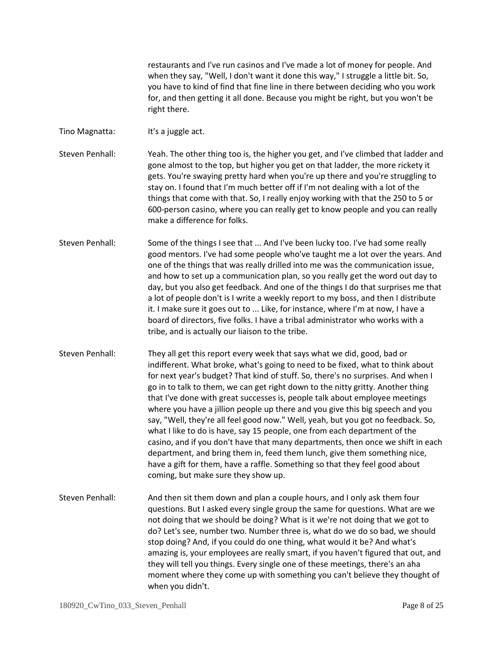restaurants and I've run casinos and I've made a lot of money for people. And when they say, "Well, I don't want it done this way," I struggle a little bit. So, you have to kind of find that fine line in there between deciding who you work for, and then getting it all done. Because you might be right, but you won't be right there.

- Tino Magnatta: It's a juggle act.
- Steven Penhall: Yeah. The other thing too is, the higher you get, and I've climbed that ladder and gone almost to the top, but higher you get on that ladder, the more rickety it gets. You're swaying pretty hard when you're up there and you're struggling to stay on. I found that I'm much better off if I'm not dealing with a lot of the things that come with that. So, I really enjoy working with that the 250 to 5 or 600-person casino, where you can really get to know people and you can really make a difference for folks.
- Steven Penhall: Some of the things I see that ... And I've been lucky too. I've had some really good mentors. I've had some people who've taught me a lot over the years. And one of the things that was really drilled into me was the communication issue, and how to set up a communication plan, so you really get the word out day to day, but you also get feedback. And one of the things I do that surprises me that a lot of people don't is I write a weekly report to my boss, and then I distribute it. I make sure it goes out to ... Like, for instance, where I'm at now, I have a board of directors, five folks. I have a tribal administrator who works with a tribe, and is actually our liaison to the tribe.
- Steven Penhall: They all get this report every week that says what we did, good, bad or indifferent. What broke, what's going to need to be fixed, what to think about for next year's budget? That kind of stuff. So, there's no surprises. And when I go in to talk to them, we can get right down to the nitty gritty. Another thing that I've done with great successes is, people talk about employee meetings where you have a jillion people up there and you give this big speech and you say, "Well, they're all feel good now." Well, yeah, but you got no feedback. So, what I like to do is have, say 15 people, one from each department of the casino, and if you don't have that many departments, then once we shift in each department, and bring them in, feed them lunch, give them something nice, have a gift for them, have a raffle. Something so that they feel good about coming, but make sure they show up.
- Steven Penhall: And then sit them down and plan a couple hours, and I only ask them four questions. But I asked every single group the same for questions. What are we not doing that we should be doing? What is it we're not doing that we got to do? Let's see, number two. Number three is, what do we do so bad, we should stop doing? And, if you could do one thing, what would it be? And what's amazing is, your employees are really smart, if you haven't figured that out, and they will tell you things. Every single one of these meetings, there's an aha moment where they come up with something you can't believe they thought of when you didn't.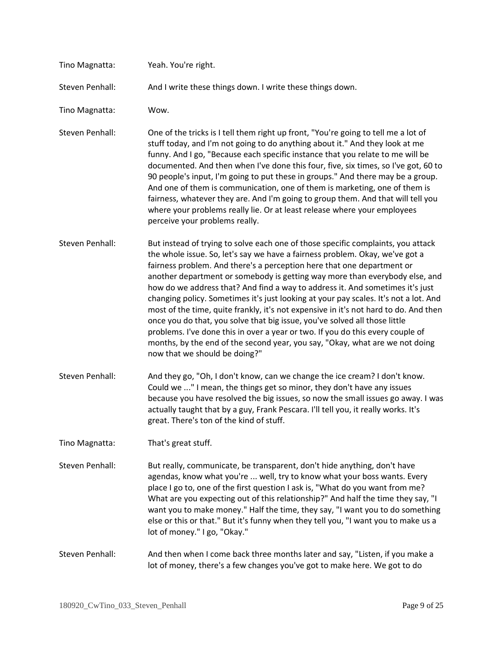| Tino Magnatta:  | Yeah. You're right.                                                                                                                                                                                                                                                                                                                                                                                                                                                                                                                                                                                                                                                                                                                                                                                                                                                         |
|-----------------|-----------------------------------------------------------------------------------------------------------------------------------------------------------------------------------------------------------------------------------------------------------------------------------------------------------------------------------------------------------------------------------------------------------------------------------------------------------------------------------------------------------------------------------------------------------------------------------------------------------------------------------------------------------------------------------------------------------------------------------------------------------------------------------------------------------------------------------------------------------------------------|
| Steven Penhall: | And I write these things down. I write these things down.                                                                                                                                                                                                                                                                                                                                                                                                                                                                                                                                                                                                                                                                                                                                                                                                                   |
| Tino Magnatta:  | Wow.                                                                                                                                                                                                                                                                                                                                                                                                                                                                                                                                                                                                                                                                                                                                                                                                                                                                        |
| Steven Penhall: | One of the tricks is I tell them right up front, "You're going to tell me a lot of<br>stuff today, and I'm not going to do anything about it." And they look at me<br>funny. And I go, "Because each specific instance that you relate to me will be<br>documented. And then when I've done this four, five, six times, so I've got, 60 to<br>90 people's input, I'm going to put these in groups." And there may be a group.<br>And one of them is communication, one of them is marketing, one of them is<br>fairness, whatever they are. And I'm going to group them. And that will tell you<br>where your problems really lie. Or at least release where your employees<br>perceive your problems really.                                                                                                                                                               |
| Steven Penhall: | But instead of trying to solve each one of those specific complaints, you attack<br>the whole issue. So, let's say we have a fairness problem. Okay, we've got a<br>fairness problem. And there's a perception here that one department or<br>another department or somebody is getting way more than everybody else, and<br>how do we address that? And find a way to address it. And sometimes it's just<br>changing policy. Sometimes it's just looking at your pay scales. It's not a lot. And<br>most of the time, quite frankly, it's not expensive in it's not hard to do. And then<br>once you do that, you solve that big issue, you've solved all those little<br>problems. I've done this in over a year or two. If you do this every couple of<br>months, by the end of the second year, you say, "Okay, what are we not doing<br>now that we should be doing?" |
| Steven Penhall: | And they go, "Oh, I don't know, can we change the ice cream? I don't know.<br>Could we " I mean, the things get so minor, they don't have any issues<br>because you have resolved the big issues, so now the small issues go away. I was<br>actually taught that by a guy, Frank Pescara. I'll tell you, it really works. It's<br>great. There's ton of the kind of stuff.                                                                                                                                                                                                                                                                                                                                                                                                                                                                                                  |
| Tino Magnatta:  | That's great stuff.                                                                                                                                                                                                                                                                                                                                                                                                                                                                                                                                                                                                                                                                                                                                                                                                                                                         |
| Steven Penhall: | But really, communicate, be transparent, don't hide anything, don't have<br>agendas, know what you're  well, try to know what your boss wants. Every<br>place I go to, one of the first question I ask is, "What do you want from me?<br>What are you expecting out of this relationship?" And half the time they say, "I<br>want you to make money." Half the time, they say, "I want you to do something<br>else or this or that." But it's funny when they tell you, "I want you to make us a<br>lot of money." I go, "Okay."                                                                                                                                                                                                                                                                                                                                            |
| Steven Penhall: | And then when I come back three months later and say, "Listen, if you make a<br>lot of money, there's a few changes you've got to make here. We got to do                                                                                                                                                                                                                                                                                                                                                                                                                                                                                                                                                                                                                                                                                                                   |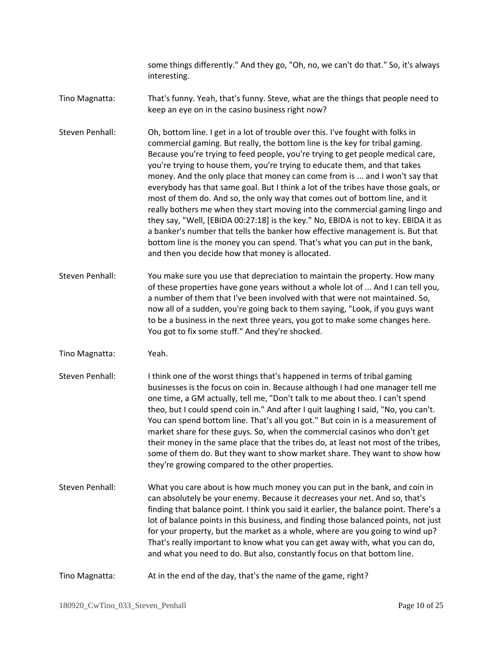some things differently." And they go, "Oh, no, we can't do that." So, it's always interesting.

- Tino Magnatta: That's funny. Yeah, that's funny. Steve, what are the things that people need to keep an eye on in the casino business right now?
- Steven Penhall: Oh, bottom line. I get in a lot of trouble over this. I've fought with folks in commercial gaming. But really, the bottom line is the key for tribal gaming. Because you're trying to feed people, you're trying to get people medical care, you're trying to house them, you're trying to educate them, and that takes money. And the only place that money can come from is ... and I won't say that everybody has that same goal. But I think a lot of the tribes have those goals, or most of them do. And so, the only way that comes out of bottom line, and it really bothers me when they start moving into the commercial gaming lingo and they say, "Well, [EBIDA 00:27:18] is the key." No, EBIDA is not to key. EBIDA it as a banker's number that tells the banker how effective management is. But that bottom line is the money you can spend. That's what you can put in the bank, and then you decide how that money is allocated.
- Steven Penhall: You make sure you use that depreciation to maintain the property. How many of these properties have gone years without a whole lot of ... And I can tell you, a number of them that I've been involved with that were not maintained. So, now all of a sudden, you're going back to them saying, "Look, if you guys want to be a business in the next three years, you got to make some changes here. You got to fix some stuff." And they're shocked.
- Tino Magnatta: Yeah.
- Steven Penhall: I think one of the worst things that's happened in terms of tribal gaming businesses is the focus on coin in. Because although I had one manager tell me one time, a GM actually, tell me, "Don't talk to me about theo. I can't spend theo, but I could spend coin in." And after I quit laughing I said, "No, you can't. You can spend bottom line. That's all you got." But coin in is a measurement of market share for these guys. So, when the commercial casinos who don't get their money in the same place that the tribes do, at least not most of the tribes, some of them do. But they want to show market share. They want to show how they're growing compared to the other properties.
- Steven Penhall: What you care about is how much money you can put in the bank, and coin in can absolutely be your enemy. Because it decreases your net. And so, that's finding that balance point. I think you said it earlier, the balance point. There's a lot of balance points in this business, and finding those balanced points, not just for your property, but the market as a whole, where are you going to wind up? That's really important to know what you can get away with, what you can do, and what you need to do. But also, constantly focus on that bottom line.
- Tino Magnatta: At in the end of the day, that's the name of the game, right?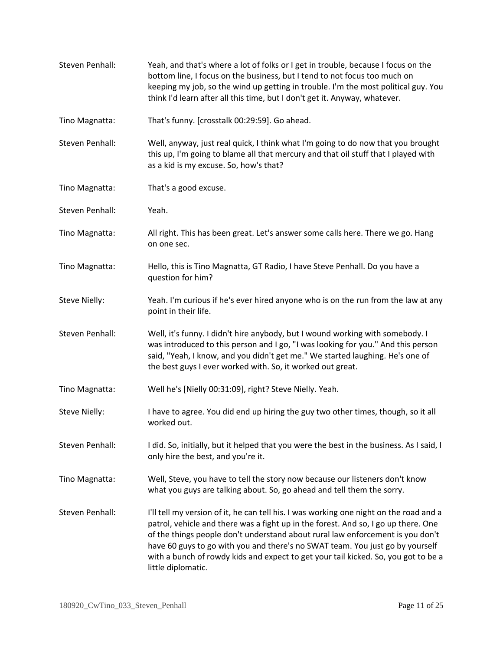| Steven Penhall:      | Yeah, and that's where a lot of folks or I get in trouble, because I focus on the<br>bottom line, I focus on the business, but I tend to not focus too much on<br>keeping my job, so the wind up getting in trouble. I'm the most political guy. You<br>think I'd learn after all this time, but I don't get it. Anyway, whatever.                                                                                                                          |
|----------------------|-------------------------------------------------------------------------------------------------------------------------------------------------------------------------------------------------------------------------------------------------------------------------------------------------------------------------------------------------------------------------------------------------------------------------------------------------------------|
| Tino Magnatta:       | That's funny. [crosstalk 00:29:59]. Go ahead.                                                                                                                                                                                                                                                                                                                                                                                                               |
| Steven Penhall:      | Well, anyway, just real quick, I think what I'm going to do now that you brought<br>this up, I'm going to blame all that mercury and that oil stuff that I played with<br>as a kid is my excuse. So, how's that?                                                                                                                                                                                                                                            |
| Tino Magnatta:       | That's a good excuse.                                                                                                                                                                                                                                                                                                                                                                                                                                       |
| Steven Penhall:      | Yeah.                                                                                                                                                                                                                                                                                                                                                                                                                                                       |
| Tino Magnatta:       | All right. This has been great. Let's answer some calls here. There we go. Hang<br>on one sec.                                                                                                                                                                                                                                                                                                                                                              |
| Tino Magnatta:       | Hello, this is Tino Magnatta, GT Radio, I have Steve Penhall. Do you have a<br>question for him?                                                                                                                                                                                                                                                                                                                                                            |
| Steve Nielly:        | Yeah. I'm curious if he's ever hired anyone who is on the run from the law at any<br>point in their life.                                                                                                                                                                                                                                                                                                                                                   |
| Steven Penhall:      | Well, it's funny. I didn't hire anybody, but I wound working with somebody. I<br>was introduced to this person and I go, "I was looking for you." And this person<br>said, "Yeah, I know, and you didn't get me." We started laughing. He's one of<br>the best guys I ever worked with. So, it worked out great.                                                                                                                                            |
| Tino Magnatta:       | Well he's [Nielly 00:31:09], right? Steve Nielly. Yeah.                                                                                                                                                                                                                                                                                                                                                                                                     |
| <b>Steve Nielly:</b> | I have to agree. You did end up hiring the guy two other times, though, so it all<br>worked out.                                                                                                                                                                                                                                                                                                                                                            |
| Steven Penhall:      | I did. So, initially, but it helped that you were the best in the business. As I said, I<br>only hire the best, and you're it.                                                                                                                                                                                                                                                                                                                              |
| Tino Magnatta:       | Well, Steve, you have to tell the story now because our listeners don't know<br>what you guys are talking about. So, go ahead and tell them the sorry.                                                                                                                                                                                                                                                                                                      |
| Steven Penhall:      | I'll tell my version of it, he can tell his. I was working one night on the road and a<br>patrol, vehicle and there was a fight up in the forest. And so, I go up there. One<br>of the things people don't understand about rural law enforcement is you don't<br>have 60 guys to go with you and there's no SWAT team. You just go by yourself<br>with a bunch of rowdy kids and expect to get your tail kicked. So, you got to be a<br>little diplomatic. |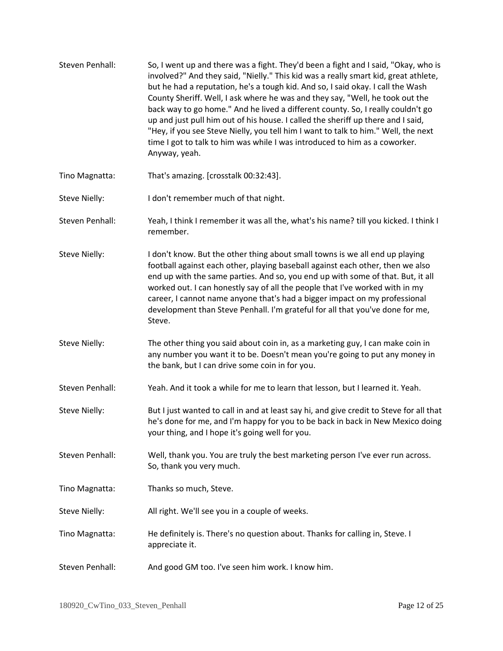| Steven Penhall:      | So, I went up and there was a fight. They'd been a fight and I said, "Okay, who is<br>involved?" And they said, "Nielly." This kid was a really smart kid, great athlete,<br>but he had a reputation, he's a tough kid. And so, I said okay. I call the Wash<br>County Sheriff. Well, I ask where he was and they say, "Well, he took out the<br>back way to go home." And he lived a different county. So, I really couldn't go<br>up and just pull him out of his house. I called the sheriff up there and I said,<br>"Hey, if you see Steve Nielly, you tell him I want to talk to him." Well, the next<br>time I got to talk to him was while I was introduced to him as a coworker.<br>Anyway, yeah. |
|----------------------|-----------------------------------------------------------------------------------------------------------------------------------------------------------------------------------------------------------------------------------------------------------------------------------------------------------------------------------------------------------------------------------------------------------------------------------------------------------------------------------------------------------------------------------------------------------------------------------------------------------------------------------------------------------------------------------------------------------|
| Tino Magnatta:       | That's amazing. [crosstalk 00:32:43].                                                                                                                                                                                                                                                                                                                                                                                                                                                                                                                                                                                                                                                                     |
| Steve Nielly:        | I don't remember much of that night.                                                                                                                                                                                                                                                                                                                                                                                                                                                                                                                                                                                                                                                                      |
| Steven Penhall:      | Yeah, I think I remember it was all the, what's his name? till you kicked. I think I<br>remember.                                                                                                                                                                                                                                                                                                                                                                                                                                                                                                                                                                                                         |
| <b>Steve Nielly:</b> | I don't know. But the other thing about small towns is we all end up playing<br>football against each other, playing baseball against each other, then we also<br>end up with the same parties. And so, you end up with some of that. But, it all<br>worked out. I can honestly say of all the people that I've worked with in my<br>career, I cannot name anyone that's had a bigger impact on my professional<br>development than Steve Penhall. I'm grateful for all that you've done for me,<br>Steve.                                                                                                                                                                                                |
| Steve Nielly:        | The other thing you said about coin in, as a marketing guy, I can make coin in<br>any number you want it to be. Doesn't mean you're going to put any money in<br>the bank, but I can drive some coin in for you.                                                                                                                                                                                                                                                                                                                                                                                                                                                                                          |
| Steven Penhall:      | Yeah. And it took a while for me to learn that lesson, but I learned it. Yeah.                                                                                                                                                                                                                                                                                                                                                                                                                                                                                                                                                                                                                            |
| <b>Steve Nielly:</b> | But I just wanted to call in and at least say hi, and give credit to Steve for all that<br>he's done for me, and I'm happy for you to be back in back in New Mexico doing<br>your thing, and I hope it's going well for you.                                                                                                                                                                                                                                                                                                                                                                                                                                                                              |
| Steven Penhall:      | Well, thank you. You are truly the best marketing person I've ever run across.<br>So, thank you very much.                                                                                                                                                                                                                                                                                                                                                                                                                                                                                                                                                                                                |
| Tino Magnatta:       | Thanks so much, Steve.                                                                                                                                                                                                                                                                                                                                                                                                                                                                                                                                                                                                                                                                                    |
| Steve Nielly:        | All right. We'll see you in a couple of weeks.                                                                                                                                                                                                                                                                                                                                                                                                                                                                                                                                                                                                                                                            |
| Tino Magnatta:       | He definitely is. There's no question about. Thanks for calling in, Steve. I<br>appreciate it.                                                                                                                                                                                                                                                                                                                                                                                                                                                                                                                                                                                                            |
| Steven Penhall:      | And good GM too. I've seen him work. I know him.                                                                                                                                                                                                                                                                                                                                                                                                                                                                                                                                                                                                                                                          |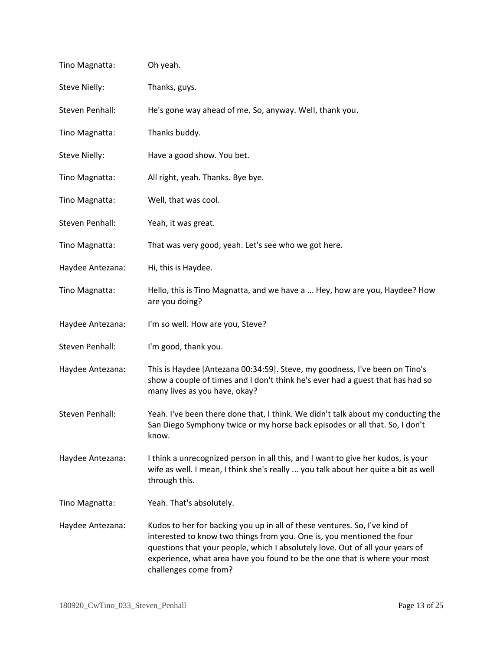| Tino Magnatta:   | Oh yeah.                                                                                                                                                                                                                                                                                                                                     |
|------------------|----------------------------------------------------------------------------------------------------------------------------------------------------------------------------------------------------------------------------------------------------------------------------------------------------------------------------------------------|
| Steve Nielly:    | Thanks, guys.                                                                                                                                                                                                                                                                                                                                |
| Steven Penhall:  | He's gone way ahead of me. So, anyway. Well, thank you.                                                                                                                                                                                                                                                                                      |
| Tino Magnatta:   | Thanks buddy.                                                                                                                                                                                                                                                                                                                                |
| Steve Nielly:    | Have a good show. You bet.                                                                                                                                                                                                                                                                                                                   |
| Tino Magnatta:   | All right, yeah. Thanks. Bye bye.                                                                                                                                                                                                                                                                                                            |
| Tino Magnatta:   | Well, that was cool.                                                                                                                                                                                                                                                                                                                         |
| Steven Penhall:  | Yeah, it was great.                                                                                                                                                                                                                                                                                                                          |
| Tino Magnatta:   | That was very good, yeah. Let's see who we got here.                                                                                                                                                                                                                                                                                         |
| Haydee Antezana: | Hi, this is Haydee.                                                                                                                                                                                                                                                                                                                          |
| Tino Magnatta:   | Hello, this is Tino Magnatta, and we have a  Hey, how are you, Haydee? How<br>are you doing?                                                                                                                                                                                                                                                 |
| Haydee Antezana: | I'm so well. How are you, Steve?                                                                                                                                                                                                                                                                                                             |
| Steven Penhall:  | I'm good, thank you.                                                                                                                                                                                                                                                                                                                         |
| Haydee Antezana: | This is Haydee [Antezana 00:34:59]. Steve, my goodness, I've been on Tino's<br>show a couple of times and I don't think he's ever had a guest that has had so<br>many lives as you have, okay?                                                                                                                                               |
| Steven Penhall:  | Yeah. I've been there done that, I think. We didn't talk about my conducting the<br>San Diego Symphony twice or my horse back episodes or all that. So, I don't<br>know.                                                                                                                                                                     |
| Haydee Antezana: | I think a unrecognized person in all this, and I want to give her kudos, is your<br>wife as well. I mean, I think she's really  you talk about her quite a bit as well<br>through this.                                                                                                                                                      |
| Tino Magnatta:   | Yeah. That's absolutely.                                                                                                                                                                                                                                                                                                                     |
| Haydee Antezana: | Kudos to her for backing you up in all of these ventures. So, I've kind of<br>interested to know two things from you. One is, you mentioned the four<br>questions that your people, which I absolutely love. Out of all your years of<br>experience, what area have you found to be the one that is where your most<br>challenges come from? |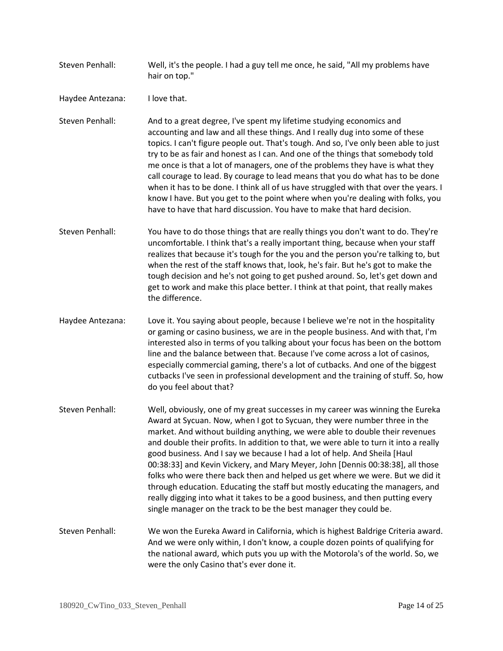Steven Penhall: Well, it's the people. I had a guy tell me once, he said, "All my problems have hair on top."

Haydee Antezana: I love that.

Steven Penhall: And to a great degree, I've spent my lifetime studying economics and accounting and law and all these things. And I really dug into some of these topics. I can't figure people out. That's tough. And so, I've only been able to just try to be as fair and honest as I can. And one of the things that somebody told me once is that a lot of managers, one of the problems they have is what they call courage to lead. By courage to lead means that you do what has to be done when it has to be done. I think all of us have struggled with that over the years. I know I have. But you get to the point where when you're dealing with folks, you have to have that hard discussion. You have to make that hard decision.

- Steven Penhall: You have to do those things that are really things you don't want to do. They're uncomfortable. I think that's a really important thing, because when your staff realizes that because it's tough for the you and the person you're talking to, but when the rest of the staff knows that, look, he's fair. But he's got to make the tough decision and he's not going to get pushed around. So, let's get down and get to work and make this place better. I think at that point, that really makes the difference.
- Haydee Antezana: Love it. You saying about people, because I believe we're not in the hospitality or gaming or casino business, we are in the people business. And with that, I'm interested also in terms of you talking about your focus has been on the bottom line and the balance between that. Because I've come across a lot of casinos, especially commercial gaming, there's a lot of cutbacks. And one of the biggest cutbacks I've seen in professional development and the training of stuff. So, how do you feel about that?
- Steven Penhall: Well, obviously, one of my great successes in my career was winning the Eureka Award at Sycuan. Now, when I got to Sycuan, they were number three in the market. And without building anything, we were able to double their revenues and double their profits. In addition to that, we were able to turn it into a really good business. And I say we because I had a lot of help. And Sheila [Haul 00:38:33] and Kevin Vickery, and Mary Meyer, John [Dennis 00:38:38], all those folks who were there back then and helped us get where we were. But we did it through education. Educating the staff but mostly educating the managers, and really digging into what it takes to be a good business, and then putting every single manager on the track to be the best manager they could be.
- Steven Penhall: We won the Eureka Award in California, which is highest Baldrige Criteria award. And we were only within, I don't know, a couple dozen points of qualifying for the national award, which puts you up with the Motorola's of the world. So, we were the only Casino that's ever done it.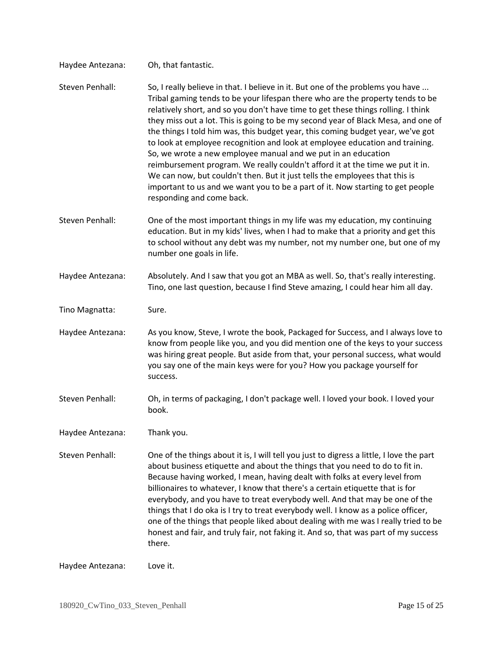| Haydee Antezana: | Oh, that fantastic.                                                                                                                                                                                                                                                                                                                                                                                                                                                                                                                                                                                                                                                                                                                                                                                                                                            |
|------------------|----------------------------------------------------------------------------------------------------------------------------------------------------------------------------------------------------------------------------------------------------------------------------------------------------------------------------------------------------------------------------------------------------------------------------------------------------------------------------------------------------------------------------------------------------------------------------------------------------------------------------------------------------------------------------------------------------------------------------------------------------------------------------------------------------------------------------------------------------------------|
| Steven Penhall:  | So, I really believe in that. I believe in it. But one of the problems you have<br>Tribal gaming tends to be your lifespan there who are the property tends to be<br>relatively short, and so you don't have time to get these things rolling. I think<br>they miss out a lot. This is going to be my second year of Black Mesa, and one of<br>the things I told him was, this budget year, this coming budget year, we've got<br>to look at employee recognition and look at employee education and training.<br>So, we wrote a new employee manual and we put in an education<br>reimbursement program. We really couldn't afford it at the time we put it in.<br>We can now, but couldn't then. But it just tells the employees that this is<br>important to us and we want you to be a part of it. Now starting to get people<br>responding and come back. |
| Steven Penhall:  | One of the most important things in my life was my education, my continuing<br>education. But in my kids' lives, when I had to make that a priority and get this<br>to school without any debt was my number, not my number one, but one of my<br>number one goals in life.                                                                                                                                                                                                                                                                                                                                                                                                                                                                                                                                                                                    |
| Haydee Antezana: | Absolutely. And I saw that you got an MBA as well. So, that's really interesting.<br>Tino, one last question, because I find Steve amazing, I could hear him all day.                                                                                                                                                                                                                                                                                                                                                                                                                                                                                                                                                                                                                                                                                          |
| Tino Magnatta:   | Sure.                                                                                                                                                                                                                                                                                                                                                                                                                                                                                                                                                                                                                                                                                                                                                                                                                                                          |
| Haydee Antezana: | As you know, Steve, I wrote the book, Packaged for Success, and I always love to<br>know from people like you, and you did mention one of the keys to your success<br>was hiring great people. But aside from that, your personal success, what would<br>you say one of the main keys were for you? How you package yourself for<br>success.                                                                                                                                                                                                                                                                                                                                                                                                                                                                                                                   |
| Steven Penhall:  | Oh, in terms of packaging, I don't package well. I loved your book. I loved your<br>book.                                                                                                                                                                                                                                                                                                                                                                                                                                                                                                                                                                                                                                                                                                                                                                      |
| Haydee Antezana: | Thank you.                                                                                                                                                                                                                                                                                                                                                                                                                                                                                                                                                                                                                                                                                                                                                                                                                                                     |
| Steven Penhall:  | One of the things about it is, I will tell you just to digress a little, I love the part<br>about business etiquette and about the things that you need to do to fit in.<br>Because having worked, I mean, having dealt with folks at every level from<br>billionaires to whatever, I know that there's a certain etiquette that is for<br>everybody, and you have to treat everybody well. And that may be one of the<br>things that I do oka is I try to treat everybody well. I know as a police officer,<br>one of the things that people liked about dealing with me was I really tried to be<br>honest and fair, and truly fair, not faking it. And so, that was part of my success<br>there.                                                                                                                                                            |
| Haydee Antezana: | Love it.                                                                                                                                                                                                                                                                                                                                                                                                                                                                                                                                                                                                                                                                                                                                                                                                                                                       |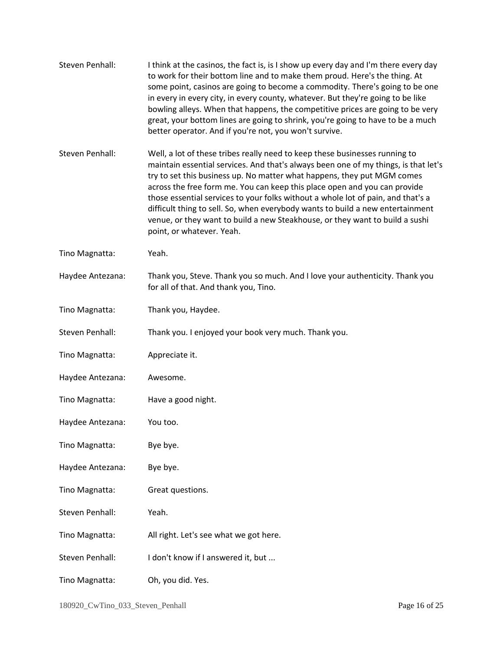| Steven Penhall:  | I think at the casinos, the fact is, is I show up every day and I'm there every day<br>to work for their bottom line and to make them proud. Here's the thing. At<br>some point, casinos are going to become a commodity. There's going to be one<br>in every in every city, in every county, whatever. But they're going to be like<br>bowling alleys. When that happens, the competitive prices are going to be very<br>great, your bottom lines are going to shrink, you're going to have to be a much<br>better operator. And if you're not, you won't survive.                                           |
|------------------|---------------------------------------------------------------------------------------------------------------------------------------------------------------------------------------------------------------------------------------------------------------------------------------------------------------------------------------------------------------------------------------------------------------------------------------------------------------------------------------------------------------------------------------------------------------------------------------------------------------|
| Steven Penhall:  | Well, a lot of these tribes really need to keep these businesses running to<br>maintain essential services. And that's always been one of my things, is that let's<br>try to set this business up. No matter what happens, they put MGM comes<br>across the free form me. You can keep this place open and you can provide<br>those essential services to your folks without a whole lot of pain, and that's a<br>difficult thing to sell. So, when everybody wants to build a new entertainment<br>venue, or they want to build a new Steakhouse, or they want to build a sushi<br>point, or whatever. Yeah. |
| Tino Magnatta:   | Yeah.                                                                                                                                                                                                                                                                                                                                                                                                                                                                                                                                                                                                         |
| Haydee Antezana: | Thank you, Steve. Thank you so much. And I love your authenticity. Thank you<br>for all of that. And thank you, Tino.                                                                                                                                                                                                                                                                                                                                                                                                                                                                                         |
| Tino Magnatta:   | Thank you, Haydee.                                                                                                                                                                                                                                                                                                                                                                                                                                                                                                                                                                                            |
| Steven Penhall:  | Thank you. I enjoyed your book very much. Thank you.                                                                                                                                                                                                                                                                                                                                                                                                                                                                                                                                                          |
| Tino Magnatta:   | Appreciate it.                                                                                                                                                                                                                                                                                                                                                                                                                                                                                                                                                                                                |
| Haydee Antezana: | Awesome.                                                                                                                                                                                                                                                                                                                                                                                                                                                                                                                                                                                                      |
| Tino Magnatta:   | Have a good night.                                                                                                                                                                                                                                                                                                                                                                                                                                                                                                                                                                                            |
| Haydee Antezana: | You too.                                                                                                                                                                                                                                                                                                                                                                                                                                                                                                                                                                                                      |
| Tino Magnatta:   | Bye bye.                                                                                                                                                                                                                                                                                                                                                                                                                                                                                                                                                                                                      |
| Haydee Antezana: | Bye bye.                                                                                                                                                                                                                                                                                                                                                                                                                                                                                                                                                                                                      |
| Tino Magnatta:   | Great questions.                                                                                                                                                                                                                                                                                                                                                                                                                                                                                                                                                                                              |
| Steven Penhall:  | Yeah.                                                                                                                                                                                                                                                                                                                                                                                                                                                                                                                                                                                                         |
| Tino Magnatta:   | All right. Let's see what we got here.                                                                                                                                                                                                                                                                                                                                                                                                                                                                                                                                                                        |
| Steven Penhall:  | I don't know if I answered it, but                                                                                                                                                                                                                                                                                                                                                                                                                                                                                                                                                                            |
| Tino Magnatta:   | Oh, you did. Yes.                                                                                                                                                                                                                                                                                                                                                                                                                                                                                                                                                                                             |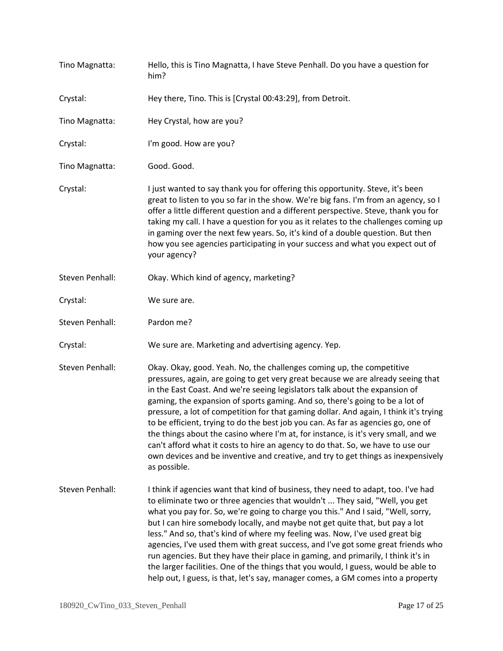| Tino Magnatta:  | Hello, this is Tino Magnatta, I have Steve Penhall. Do you have a question for<br>him?                                                                                                                                                                                                                                                                                                                                                                                                                                                                                                                                                                                                                                                                                               |
|-----------------|--------------------------------------------------------------------------------------------------------------------------------------------------------------------------------------------------------------------------------------------------------------------------------------------------------------------------------------------------------------------------------------------------------------------------------------------------------------------------------------------------------------------------------------------------------------------------------------------------------------------------------------------------------------------------------------------------------------------------------------------------------------------------------------|
| Crystal:        | Hey there, Tino. This is [Crystal 00:43:29], from Detroit.                                                                                                                                                                                                                                                                                                                                                                                                                                                                                                                                                                                                                                                                                                                           |
| Tino Magnatta:  | Hey Crystal, how are you?                                                                                                                                                                                                                                                                                                                                                                                                                                                                                                                                                                                                                                                                                                                                                            |
| Crystal:        | I'm good. How are you?                                                                                                                                                                                                                                                                                                                                                                                                                                                                                                                                                                                                                                                                                                                                                               |
| Tino Magnatta:  | Good. Good.                                                                                                                                                                                                                                                                                                                                                                                                                                                                                                                                                                                                                                                                                                                                                                          |
| Crystal:        | I just wanted to say thank you for offering this opportunity. Steve, it's been<br>great to listen to you so far in the show. We're big fans. I'm from an agency, so I<br>offer a little different question and a different perspective. Steve, thank you for<br>taking my call. I have a question for you as it relates to the challenges coming up<br>in gaming over the next few years. So, it's kind of a double question. But then<br>how you see agencies participating in your success and what you expect out of<br>your agency?                                                                                                                                                                                                                                              |
| Steven Penhall: | Okay. Which kind of agency, marketing?                                                                                                                                                                                                                                                                                                                                                                                                                                                                                                                                                                                                                                                                                                                                               |
| Crystal:        | We sure are.                                                                                                                                                                                                                                                                                                                                                                                                                                                                                                                                                                                                                                                                                                                                                                         |
| Steven Penhall: | Pardon me?                                                                                                                                                                                                                                                                                                                                                                                                                                                                                                                                                                                                                                                                                                                                                                           |
| Crystal:        | We sure are. Marketing and advertising agency. Yep.                                                                                                                                                                                                                                                                                                                                                                                                                                                                                                                                                                                                                                                                                                                                  |
| Steven Penhall: | Okay. Okay, good. Yeah. No, the challenges coming up, the competitive<br>pressures, again, are going to get very great because we are already seeing that<br>in the East Coast. And we're seeing legislators talk about the expansion of<br>gaming, the expansion of sports gaming. And so, there's going to be a lot of<br>pressure, a lot of competition for that gaming dollar. And again, I think it's trying<br>to be efficient, trying to do the best job you can. As far as agencies go, one of<br>the things about the casino where I'm at, for instance, is it's very small, and we<br>can't afford what it costs to hire an agency to do that. So, we have to use our<br>own devices and be inventive and creative, and try to get things as inexpensively<br>as possible. |
| Steven Penhall: | I think if agencies want that kind of business, they need to adapt, too. I've had<br>to eliminate two or three agencies that wouldn't  They said, "Well, you get<br>what you pay for. So, we're going to charge you this." And I said, "Well, sorry,<br>but I can hire somebody locally, and maybe not get quite that, but pay a lot<br>less." And so, that's kind of where my feeling was. Now, I've used great big<br>agencies, I've used them with great success, and I've got some great friends who<br>run agencies. But they have their place in gaming, and primarily, I think it's in<br>the larger facilities. One of the things that you would, I guess, would be able to<br>help out, I guess, is that, let's say, manager comes, a GM comes into a property              |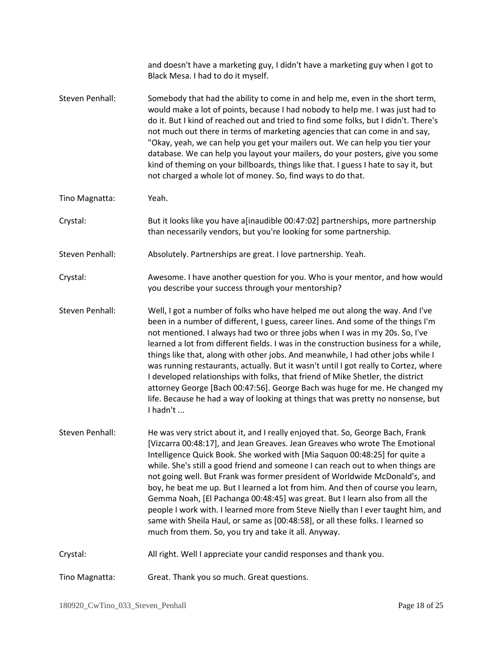|                 | and doesn't have a marketing guy, I didn't have a marketing guy when I got to<br>Black Mesa. I had to do it myself.                                                                                                                                                                                                                                                                                                                                                                                                                                                                                                                                                                                                                                                                                           |
|-----------------|---------------------------------------------------------------------------------------------------------------------------------------------------------------------------------------------------------------------------------------------------------------------------------------------------------------------------------------------------------------------------------------------------------------------------------------------------------------------------------------------------------------------------------------------------------------------------------------------------------------------------------------------------------------------------------------------------------------------------------------------------------------------------------------------------------------|
| Steven Penhall: | Somebody that had the ability to come in and help me, even in the short term,<br>would make a lot of points, because I had nobody to help me. I was just had to<br>do it. But I kind of reached out and tried to find some folks, but I didn't. There's<br>not much out there in terms of marketing agencies that can come in and say,<br>"Okay, yeah, we can help you get your mailers out. We can help you tier your<br>database. We can help you layout your mailers, do your posters, give you some<br>kind of theming on your billboards, things like that. I guess I hate to say it, but<br>not charged a whole lot of money. So, find ways to do that.                                                                                                                                                 |
| Tino Magnatta:  | Yeah.                                                                                                                                                                                                                                                                                                                                                                                                                                                                                                                                                                                                                                                                                                                                                                                                         |
| Crystal:        | But it looks like you have a[inaudible 00:47:02] partnerships, more partnership<br>than necessarily vendors, but you're looking for some partnership.                                                                                                                                                                                                                                                                                                                                                                                                                                                                                                                                                                                                                                                         |
| Steven Penhall: | Absolutely. Partnerships are great. I love partnership. Yeah.                                                                                                                                                                                                                                                                                                                                                                                                                                                                                                                                                                                                                                                                                                                                                 |
| Crystal:        | Awesome. I have another question for you. Who is your mentor, and how would<br>you describe your success through your mentorship?                                                                                                                                                                                                                                                                                                                                                                                                                                                                                                                                                                                                                                                                             |
| Steven Penhall: | Well, I got a number of folks who have helped me out along the way. And I've<br>been in a number of different, I guess, career lines. And some of the things I'm<br>not mentioned. I always had two or three jobs when I was in my 20s. So, I've<br>learned a lot from different fields. I was in the construction business for a while,<br>things like that, along with other jobs. And meanwhile, I had other jobs while I<br>was running restaurants, actually. But it wasn't until I got really to Cortez, where<br>I developed relationships with folks, that friend of Mike Shetler, the district<br>attorney George [Bach 00:47:56]. George Bach was huge for me. He changed my<br>life. Because he had a way of looking at things that was pretty no nonsense, but<br>I hadn't                        |
| Steven Penhall: | He was very strict about it, and I really enjoyed that. So, George Bach, Frank<br>[Vizcarra 00:48:17], and Jean Greaves. Jean Greaves who wrote The Emotional<br>Intelligence Quick Book. She worked with [Mia Saquon 00:48:25] for quite a<br>while. She's still a good friend and someone I can reach out to when things are<br>not going well. But Frank was former president of Worldwide McDonald's, and<br>boy, he beat me up. But I learned a lot from him. And then of course you learn,<br>Gemma Noah, [El Pachanga 00:48:45] was great. But I learn also from all the<br>people I work with. I learned more from Steve Nielly than I ever taught him, and<br>same with Sheila Haul, or same as [00:48:58], or all these folks. I learned so<br>much from them. So, you try and take it all. Anyway. |
| Crystal:        | All right. Well I appreciate your candid responses and thank you.                                                                                                                                                                                                                                                                                                                                                                                                                                                                                                                                                                                                                                                                                                                                             |
| Tino Magnatta:  | Great. Thank you so much. Great questions.                                                                                                                                                                                                                                                                                                                                                                                                                                                                                                                                                                                                                                                                                                                                                                    |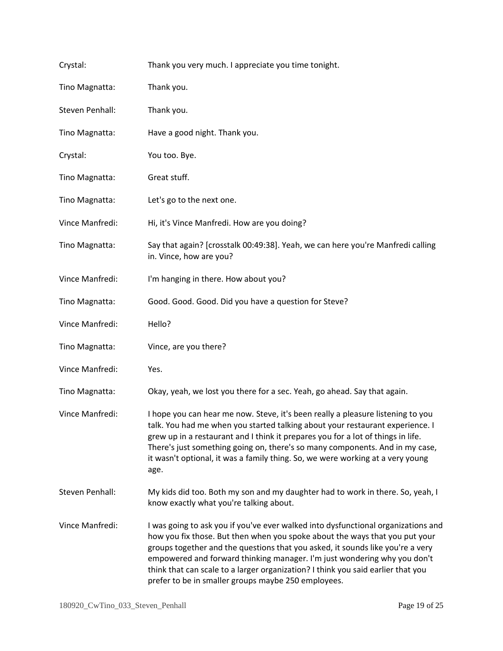| Crystal:        | Thank you very much. I appreciate you time tonight.                                                                                                                                                                                                                                                                                                                                                                                                                       |
|-----------------|---------------------------------------------------------------------------------------------------------------------------------------------------------------------------------------------------------------------------------------------------------------------------------------------------------------------------------------------------------------------------------------------------------------------------------------------------------------------------|
| Tino Magnatta:  | Thank you.                                                                                                                                                                                                                                                                                                                                                                                                                                                                |
| Steven Penhall: | Thank you.                                                                                                                                                                                                                                                                                                                                                                                                                                                                |
| Tino Magnatta:  | Have a good night. Thank you.                                                                                                                                                                                                                                                                                                                                                                                                                                             |
| Crystal:        | You too. Bye.                                                                                                                                                                                                                                                                                                                                                                                                                                                             |
| Tino Magnatta:  | Great stuff.                                                                                                                                                                                                                                                                                                                                                                                                                                                              |
| Tino Magnatta:  | Let's go to the next one.                                                                                                                                                                                                                                                                                                                                                                                                                                                 |
| Vince Manfredi: | Hi, it's Vince Manfredi. How are you doing?                                                                                                                                                                                                                                                                                                                                                                                                                               |
| Tino Magnatta:  | Say that again? [crosstalk 00:49:38]. Yeah, we can here you're Manfredi calling<br>in. Vince, how are you?                                                                                                                                                                                                                                                                                                                                                                |
| Vince Manfredi: | I'm hanging in there. How about you?                                                                                                                                                                                                                                                                                                                                                                                                                                      |
| Tino Magnatta:  | Good. Good. Good. Did you have a question for Steve?                                                                                                                                                                                                                                                                                                                                                                                                                      |
| Vince Manfredi: | Hello?                                                                                                                                                                                                                                                                                                                                                                                                                                                                    |
| Tino Magnatta:  | Vince, are you there?                                                                                                                                                                                                                                                                                                                                                                                                                                                     |
| Vince Manfredi: | Yes.                                                                                                                                                                                                                                                                                                                                                                                                                                                                      |
| Tino Magnatta:  | Okay, yeah, we lost you there for a sec. Yeah, go ahead. Say that again.                                                                                                                                                                                                                                                                                                                                                                                                  |
| Vince Manfredi: | I hope you can hear me now. Steve, it's been really a pleasure listening to you<br>talk. You had me when you started talking about your restaurant experience. I<br>grew up in a restaurant and I think it prepares you for a lot of things in life.<br>There's just something going on, there's so many components. And in my case,<br>it wasn't optional, it was a family thing. So, we were working at a very young<br>age.                                            |
| Steven Penhall: | My kids did too. Both my son and my daughter had to work in there. So, yeah, I<br>know exactly what you're talking about.                                                                                                                                                                                                                                                                                                                                                 |
| Vince Manfredi: | I was going to ask you if you've ever walked into dysfunctional organizations and<br>how you fix those. But then when you spoke about the ways that you put your<br>groups together and the questions that you asked, it sounds like you're a very<br>empowered and forward thinking manager. I'm just wondering why you don't<br>think that can scale to a larger organization? I think you said earlier that you<br>prefer to be in smaller groups maybe 250 employees. |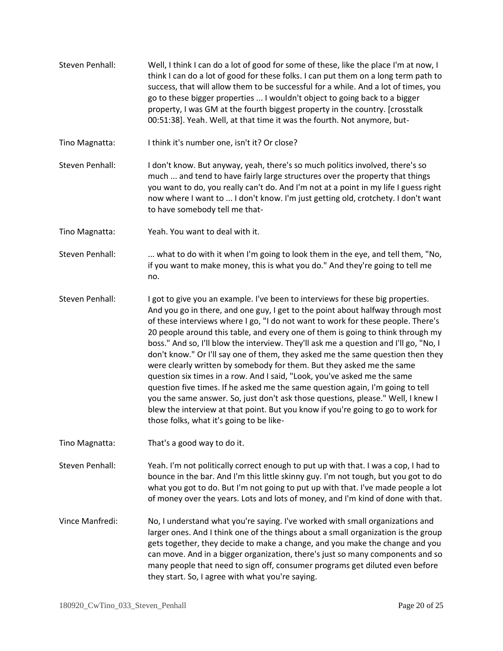Steven Penhall: Well, I think I can do a lot of good for some of these, like the place I'm at now, I think I can do a lot of good for these folks. I can put them on a long term path to success, that will allow them to be successful for a while. And a lot of times, you go to these bigger properties ... I wouldn't object to going back to a bigger property, I was GM at the fourth biggest property in the country. [crosstalk 00:51:38]. Yeah. Well, at that time it was the fourth. Not anymore, but-

Tino Magnatta: I think it's number one, isn't it? Or close?

- Steven Penhall: I don't know. But anyway, yeah, there's so much politics involved, there's so much ... and tend to have fairly large structures over the property that things you want to do, you really can't do. And I'm not at a point in my life I guess right now where I want to ... I don't know. I'm just getting old, crotchety. I don't want to have somebody tell me that-
- Tino Magnatta: Yeah. You want to deal with it.
- Steven Penhall: ... what to do with it when I'm going to look them in the eye, and tell them, "No, if you want to make money, this is what you do." And they're going to tell me no.
- Steven Penhall: I got to give you an example. I've been to interviews for these big properties. And you go in there, and one guy, I get to the point about halfway through most of these interviews where I go, "I do not want to work for these people. There's 20 people around this table, and every one of them is going to think through my boss." And so, I'll blow the interview. They'll ask me a question and I'll go, "No, I don't know." Or I'll say one of them, they asked me the same question then they were clearly written by somebody for them. But they asked me the same question six times in a row. And I said, "Look, you've asked me the same question five times. If he asked me the same question again, I'm going to tell you the same answer. So, just don't ask those questions, please." Well, I knew I blew the interview at that point. But you know if you're going to go to work for those folks, what it's going to be like-
- Tino Magnatta: That's a good way to do it.

Steven Penhall: Yeah. I'm not politically correct enough to put up with that. I was a cop, I had to bounce in the bar. And I'm this little skinny guy. I'm not tough, but you got to do what you got to do. But I'm not going to put up with that. I've made people a lot of money over the years. Lots and lots of money, and I'm kind of done with that.

Vince Manfredi: No, I understand what you're saying. I've worked with small organizations and larger ones. And I think one of the things about a small organization is the group gets together, they decide to make a change, and you make the change and you can move. And in a bigger organization, there's just so many components and so many people that need to sign off, consumer programs get diluted even before they start. So, I agree with what you're saying.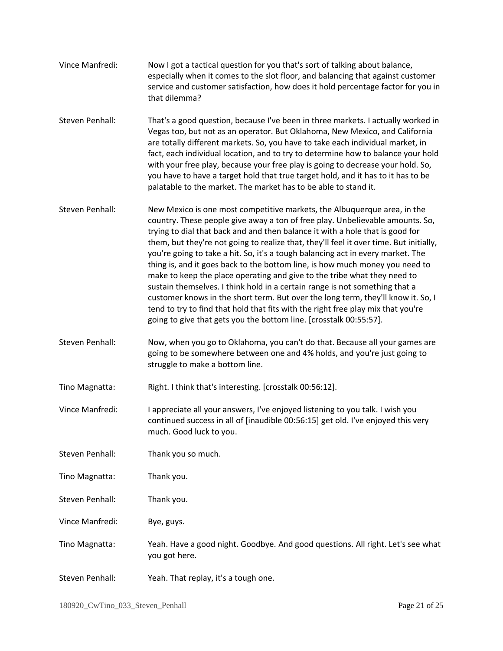|                 | especially when it comes to the slot floor, and balancing that against customer<br>service and customer satisfaction, how does it hold percentage factor for you in<br>that dilemma?                                                                                                                                                                                                                                                                                                                                                                                                                                                                                                                                                                                                                                                                                                                             |
|-----------------|------------------------------------------------------------------------------------------------------------------------------------------------------------------------------------------------------------------------------------------------------------------------------------------------------------------------------------------------------------------------------------------------------------------------------------------------------------------------------------------------------------------------------------------------------------------------------------------------------------------------------------------------------------------------------------------------------------------------------------------------------------------------------------------------------------------------------------------------------------------------------------------------------------------|
| Steven Penhall: | That's a good question, because I've been in three markets. I actually worked in<br>Vegas too, but not as an operator. But Oklahoma, New Mexico, and California<br>are totally different markets. So, you have to take each individual market, in<br>fact, each individual location, and to try to determine how to balance your hold<br>with your free play, because your free play is going to decrease your hold. So,<br>you have to have a target hold that true target hold, and it has to it has to be<br>palatable to the market. The market has to be able to stand it.                                                                                                                                                                                                                                                                                                                                  |
| Steven Penhall: | New Mexico is one most competitive markets, the Albuquerque area, in the<br>country. These people give away a ton of free play. Unbelievable amounts. So,<br>trying to dial that back and and then balance it with a hole that is good for<br>them, but they're not going to realize that, they'll feel it over time. But initially,<br>you're going to take a hit. So, it's a tough balancing act in every market. The<br>thing is, and it goes back to the bottom line, is how much money you need to<br>make to keep the place operating and give to the tribe what they need to<br>sustain themselves. I think hold in a certain range is not something that a<br>customer knows in the short term. But over the long term, they'll know it. So, I<br>tend to try to find that hold that fits with the right free play mix that you're<br>going to give that gets you the bottom line. [crosstalk 00:55:57]. |
| Steven Penhall: | Now, when you go to Oklahoma, you can't do that. Because all your games are<br>going to be somewhere between one and 4% holds, and you're just going to<br>struggle to make a bottom line.                                                                                                                                                                                                                                                                                                                                                                                                                                                                                                                                                                                                                                                                                                                       |
| Tino Magnatta:  | Right. I think that's interesting. [crosstalk 00:56:12].                                                                                                                                                                                                                                                                                                                                                                                                                                                                                                                                                                                                                                                                                                                                                                                                                                                         |
| Vince Manfredi: | I appreciate all your answers, I've enjoyed listening to you talk. I wish you<br>continued success in all of [inaudible 00:56:15] get old. I've enjoyed this very<br>much. Good luck to you.                                                                                                                                                                                                                                                                                                                                                                                                                                                                                                                                                                                                                                                                                                                     |
| Steven Penhall: | Thank you so much.                                                                                                                                                                                                                                                                                                                                                                                                                                                                                                                                                                                                                                                                                                                                                                                                                                                                                               |
| Tino Magnatta:  | Thank you.                                                                                                                                                                                                                                                                                                                                                                                                                                                                                                                                                                                                                                                                                                                                                                                                                                                                                                       |
| Steven Penhall: | Thank you.                                                                                                                                                                                                                                                                                                                                                                                                                                                                                                                                                                                                                                                                                                                                                                                                                                                                                                       |
| Vince Manfredi: | Bye, guys.                                                                                                                                                                                                                                                                                                                                                                                                                                                                                                                                                                                                                                                                                                                                                                                                                                                                                                       |
| Tino Magnatta:  | Yeah. Have a good night. Goodbye. And good questions. All right. Let's see what<br>you got here.                                                                                                                                                                                                                                                                                                                                                                                                                                                                                                                                                                                                                                                                                                                                                                                                                 |
| Steven Penhall: | Yeah. That replay, it's a tough one.                                                                                                                                                                                                                                                                                                                                                                                                                                                                                                                                                                                                                                                                                                                                                                                                                                                                             |

Vince Manfredi: Now I got a tactical question for you that's sort of talking about balance,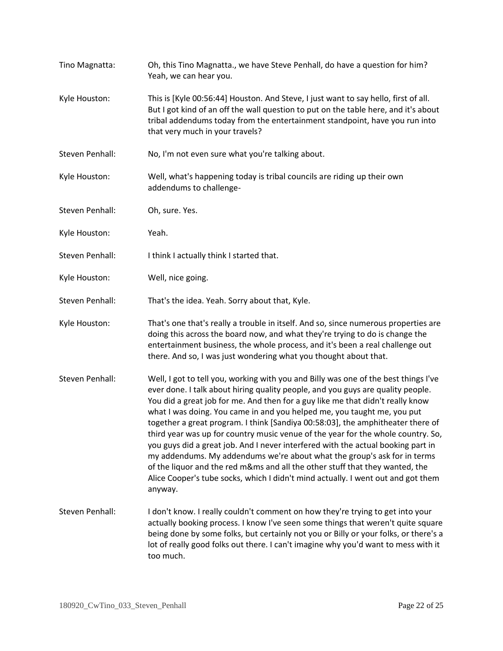Tino Magnatta: Oh, this Tino Magnatta., we have Steve Penhall, do have a question for him? Yeah, we can hear you. Kyle Houston: This is [Kyle 00:56:44] Houston. And Steve, I just want to say hello, first of all. But I got kind of an off the wall question to put on the table here, and it's about tribal addendums today from the entertainment standpoint, have you run into that very much in your travels? Steven Penhall: No, I'm not even sure what you're talking about. Kyle Houston: Well, what's happening today is tribal councils are riding up their own addendums to challenge-Steven Penhall: Oh, sure. Yes. Kyle Houston: Yeah. Steven Penhall: I think I actually think I started that. Kyle Houston: Well, nice going. Steven Penhall: That's the idea. Yeah. Sorry about that, Kyle. Kyle Houston: That's one that's really a trouble in itself. And so, since numerous properties are doing this across the board now, and what they're trying to do is change the entertainment business, the whole process, and it's been a real challenge out there. And so, I was just wondering what you thought about that. Steven Penhall: Well, I got to tell you, working with you and Billy was one of the best things I've ever done. I talk about hiring quality people, and you guys are quality people. You did a great job for me. And then for a guy like me that didn't really know what I was doing. You came in and you helped me, you taught me, you put together a great program. I think [Sandiya 00:58:03], the amphitheater there of third year was up for country music venue of the year for the whole country. So, you guys did a great job. And I never interfered with the actual booking part in my addendums. My addendums we're about what the group's ask for in terms of the liquor and the red m&ms and all the other stuff that they wanted, the Alice Cooper's tube socks, which I didn't mind actually. I went out and got them anyway. Steven Penhall: I don't know. I really couldn't comment on how they're trying to get into your actually booking process. I know I've seen some things that weren't quite square being done by some folks, but certainly not you or Billy or your folks, or there's a lot of really good folks out there. I can't imagine why you'd want to mess with it too much.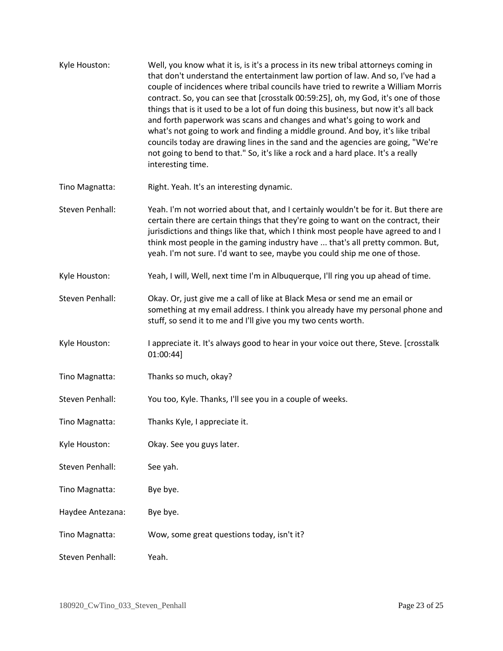| Kyle Houston:    | Well, you know what it is, is it's a process in its new tribal attorneys coming in<br>that don't understand the entertainment law portion of law. And so, I've had a<br>couple of incidences where tribal councils have tried to rewrite a William Morris<br>contract. So, you can see that [crosstalk 00:59:25], oh, my God, it's one of those<br>things that is it used to be a lot of fun doing this business, but now it's all back<br>and forth paperwork was scans and changes and what's going to work and<br>what's not going to work and finding a middle ground. And boy, it's like tribal<br>councils today are drawing lines in the sand and the agencies are going, "We're<br>not going to bend to that." So, it's like a rock and a hard place. It's a really<br>interesting time. |
|------------------|--------------------------------------------------------------------------------------------------------------------------------------------------------------------------------------------------------------------------------------------------------------------------------------------------------------------------------------------------------------------------------------------------------------------------------------------------------------------------------------------------------------------------------------------------------------------------------------------------------------------------------------------------------------------------------------------------------------------------------------------------------------------------------------------------|
| Tino Magnatta:   | Right. Yeah. It's an interesting dynamic.                                                                                                                                                                                                                                                                                                                                                                                                                                                                                                                                                                                                                                                                                                                                                        |
| Steven Penhall:  | Yeah. I'm not worried about that, and I certainly wouldn't be for it. But there are<br>certain there are certain things that they're going to want on the contract, their<br>jurisdictions and things like that, which I think most people have agreed to and I<br>think most people in the gaming industry have  that's all pretty common. But,<br>yeah. I'm not sure. I'd want to see, maybe you could ship me one of those.                                                                                                                                                                                                                                                                                                                                                                   |
| Kyle Houston:    | Yeah, I will, Well, next time I'm in Albuquerque, I'll ring you up ahead of time.                                                                                                                                                                                                                                                                                                                                                                                                                                                                                                                                                                                                                                                                                                                |
| Steven Penhall:  | Okay. Or, just give me a call of like at Black Mesa or send me an email or<br>something at my email address. I think you already have my personal phone and<br>stuff, so send it to me and I'll give you my two cents worth.                                                                                                                                                                                                                                                                                                                                                                                                                                                                                                                                                                     |
| Kyle Houston:    | I appreciate it. It's always good to hear in your voice out there, Steve. [crosstalk<br>01:00:44]                                                                                                                                                                                                                                                                                                                                                                                                                                                                                                                                                                                                                                                                                                |
| Tino Magnatta:   | Thanks so much, okay?                                                                                                                                                                                                                                                                                                                                                                                                                                                                                                                                                                                                                                                                                                                                                                            |
| Steven Penhall:  | You too, Kyle. Thanks, I'll see you in a couple of weeks.                                                                                                                                                                                                                                                                                                                                                                                                                                                                                                                                                                                                                                                                                                                                        |
| Tino Magnatta:   | Thanks Kyle, I appreciate it.                                                                                                                                                                                                                                                                                                                                                                                                                                                                                                                                                                                                                                                                                                                                                                    |
| Kyle Houston:    | Okay. See you guys later.                                                                                                                                                                                                                                                                                                                                                                                                                                                                                                                                                                                                                                                                                                                                                                        |
| Steven Penhall:  | See yah.                                                                                                                                                                                                                                                                                                                                                                                                                                                                                                                                                                                                                                                                                                                                                                                         |
| Tino Magnatta:   | Bye bye.                                                                                                                                                                                                                                                                                                                                                                                                                                                                                                                                                                                                                                                                                                                                                                                         |
| Haydee Antezana: | Bye bye.                                                                                                                                                                                                                                                                                                                                                                                                                                                                                                                                                                                                                                                                                                                                                                                         |
| Tino Magnatta:   | Wow, some great questions today, isn't it?                                                                                                                                                                                                                                                                                                                                                                                                                                                                                                                                                                                                                                                                                                                                                       |
| Steven Penhall:  | Yeah.                                                                                                                                                                                                                                                                                                                                                                                                                                                                                                                                                                                                                                                                                                                                                                                            |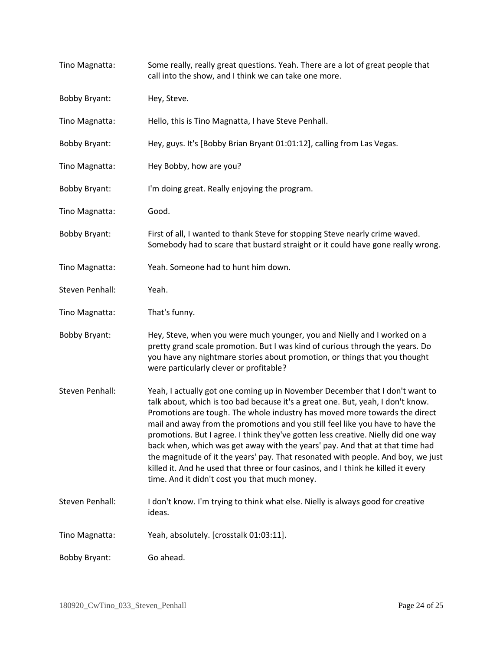| Tino Magnatta:       | Some really, really great questions. Yeah. There are a lot of great people that<br>call into the show, and I think we can take one more.                                                                                                                                                                                                                                                                                                                                                                                                                                                                                                                                                                                       |
|----------------------|--------------------------------------------------------------------------------------------------------------------------------------------------------------------------------------------------------------------------------------------------------------------------------------------------------------------------------------------------------------------------------------------------------------------------------------------------------------------------------------------------------------------------------------------------------------------------------------------------------------------------------------------------------------------------------------------------------------------------------|
| <b>Bobby Bryant:</b> | Hey, Steve.                                                                                                                                                                                                                                                                                                                                                                                                                                                                                                                                                                                                                                                                                                                    |
| Tino Magnatta:       | Hello, this is Tino Magnatta, I have Steve Penhall.                                                                                                                                                                                                                                                                                                                                                                                                                                                                                                                                                                                                                                                                            |
| <b>Bobby Bryant:</b> | Hey, guys. It's [Bobby Brian Bryant 01:01:12], calling from Las Vegas.                                                                                                                                                                                                                                                                                                                                                                                                                                                                                                                                                                                                                                                         |
| Tino Magnatta:       | Hey Bobby, how are you?                                                                                                                                                                                                                                                                                                                                                                                                                                                                                                                                                                                                                                                                                                        |
| <b>Bobby Bryant:</b> | I'm doing great. Really enjoying the program.                                                                                                                                                                                                                                                                                                                                                                                                                                                                                                                                                                                                                                                                                  |
| Tino Magnatta:       | Good.                                                                                                                                                                                                                                                                                                                                                                                                                                                                                                                                                                                                                                                                                                                          |
| <b>Bobby Bryant:</b> | First of all, I wanted to thank Steve for stopping Steve nearly crime waved.<br>Somebody had to scare that bustard straight or it could have gone really wrong.                                                                                                                                                                                                                                                                                                                                                                                                                                                                                                                                                                |
| Tino Magnatta:       | Yeah. Someone had to hunt him down.                                                                                                                                                                                                                                                                                                                                                                                                                                                                                                                                                                                                                                                                                            |
| Steven Penhall:      | Yeah.                                                                                                                                                                                                                                                                                                                                                                                                                                                                                                                                                                                                                                                                                                                          |
| Tino Magnatta:       | That's funny.                                                                                                                                                                                                                                                                                                                                                                                                                                                                                                                                                                                                                                                                                                                  |
| <b>Bobby Bryant:</b> | Hey, Steve, when you were much younger, you and Nielly and I worked on a<br>pretty grand scale promotion. But I was kind of curious through the years. Do<br>you have any nightmare stories about promotion, or things that you thought<br>were particularly clever or profitable?                                                                                                                                                                                                                                                                                                                                                                                                                                             |
| Steven Penhall:      | Yeah, I actually got one coming up in November December that I don't want to<br>talk about, which is too bad because it's a great one. But, yeah, I don't know.<br>Promotions are tough. The whole industry has moved more towards the direct<br>mail and away from the promotions and you still feel like you have to have the<br>promotions. But I agree. I think they've gotten less creative. Nielly did one way<br>back when, which was get away with the years' pay. And that at that time had<br>the magnitude of it the years' pay. That resonated with people. And boy, we just<br>killed it. And he used that three or four casinos, and I think he killed it every<br>time. And it didn't cost you that much money. |
| Steven Penhall:      | I don't know. I'm trying to think what else. Nielly is always good for creative<br>ideas.                                                                                                                                                                                                                                                                                                                                                                                                                                                                                                                                                                                                                                      |
| Tino Magnatta:       | Yeah, absolutely. [crosstalk 01:03:11].                                                                                                                                                                                                                                                                                                                                                                                                                                                                                                                                                                                                                                                                                        |
| <b>Bobby Bryant:</b> | Go ahead.                                                                                                                                                                                                                                                                                                                                                                                                                                                                                                                                                                                                                                                                                                                      |